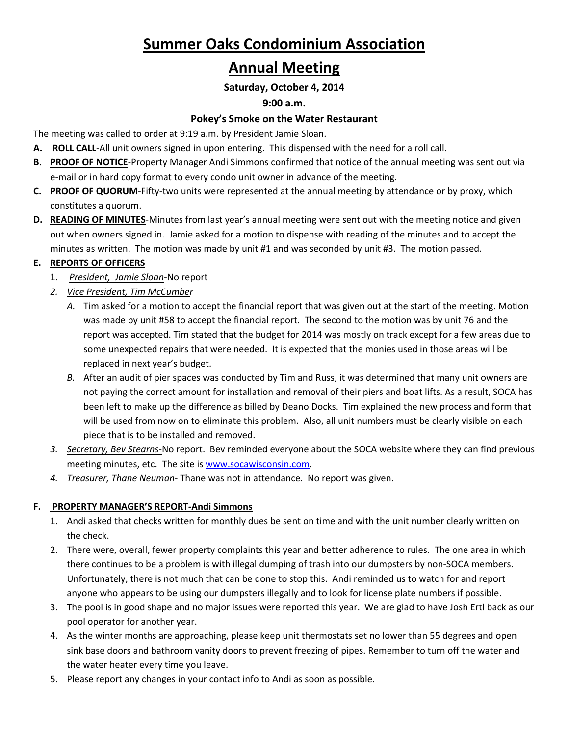# **Summer Oaks Condominium Association**

# **Annual Meeting**

#### **Saturday, October 4, 2014**

#### **9:00 a.m.**

#### **Pokey's Smoke on the Water Restaurant**

The meeting was called to order at 9:19 a.m. by President Jamie Sloan.

- **A. ROLL CALL**‐All unit owners signed in upon entering. This dispensed with the need for a roll call.
- **B. PROOF OF NOTICE**‐Property Manager Andi Simmons confirmed that notice of the annual meeting was sent out via e-mail or in hard copy format to every condo unit owner in advance of the meeting.
- **C. PROOF OF QUORUM**‐Fifty‐two units were represented at the annual meeting by attendance or by proxy, which constitutes a quorum.
- **D. READING OF MINUTES**‐Minutes from last year's annual meeting were sent out with the meeting notice and given out when owners signed in. Jamie asked for a motion to dispense with reading of the minutes and to accept the minutes as written. The motion was made by unit #1 and was seconded by unit #3. The motion passed.

# **E. REPORTS OF OFFICERS**

- 1. *President, Jamie Sloan*‐No report
- *2. Vice President, Tim McCumber*
	- *A.* Tim asked for a motion to accept the financial report that was given out at the start of the meeting. Motion was made by unit #58 to accept the financial report. The second to the motion was by unit 76 and the report was accepted. Tim stated that the budget for 2014 was mostly on track except for a few areas due to some unexpected repairs that were needed. It is expected that the monies used in those areas will be replaced in next year's budget.
	- *B.* After an audit of pier spaces was conducted by Tim and Russ, it was determined that many unit owners are not paying the correct amount for installation and removal of their piers and boat lifts. As a result, SOCA has been left to make up the difference as billed by Deano Docks. Tim explained the new process and form that will be used from now on to eliminate this problem. Also, all unit numbers must be clearly visible on each piece that is to be installed and removed.
- *3. Secretary, Bev Stearns‐*No report. Bev reminded everyone about the SOCA website where they can find previous meeting minutes, etc. The site is www.socawisconsin.com.
- *4. Treasurer, Thane Neuman*‐ Thane was not in attendance. No report was given.

# **F. PROPERTY MANAGER'S REPORT‐Andi Simmons**

- 1. Andi asked that checks written for monthly dues be sent on time and with the unit number clearly written on the check.
- 2. There were, overall, fewer property complaints this year and better adherence to rules. The one area in which there continues to be a problem is with illegal dumping of trash into our dumpsters by non‐SOCA members. Unfortunately, there is not much that can be done to stop this. Andi reminded us to watch for and report anyone who appears to be using our dumpsters illegally and to look for license plate numbers if possible.
- 3. The pool is in good shape and no major issues were reported this year. We are glad to have Josh Ertl back as our pool operator for another year.
- 4. As the winter months are approaching, please keep unit thermostats set no lower than 55 degrees and open sink base doors and bathroom vanity doors to prevent freezing of pipes. Remember to turn off the water and the water heater every time you leave.
- 5. Please report any changes in your contact info to Andi as soon as possible.